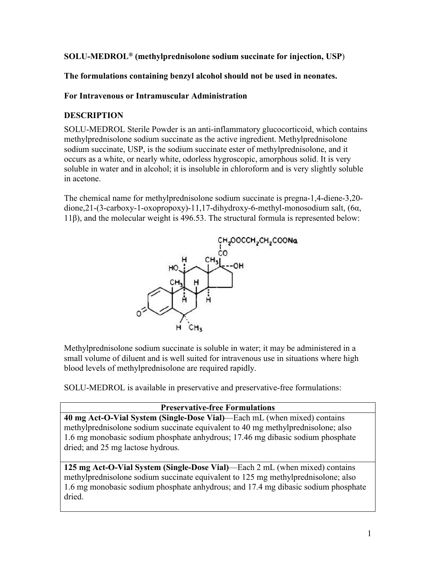# **SOLU-MEDROL® (methylprednisolone sodium succinate for injection, USP**)

**The formulations containing benzyl alcohol should not be used in neonates.** 

#### **For Intravenous or Intramuscular Administration**

# **DESCRIPTION**

SOLU-MEDROL Sterile Powder is an anti-inflammatory glucocorticoid, which contains methylprednisolone sodium succinate as the active ingredient. Methylprednisolone sodium succinate, USP, is the sodium succinate ester of methylprednisolone, and it occurs as a white, or nearly white, odorless hygroscopic, amorphous solid. It is very soluble in water and in alcohol; it is insoluble in chloroform and is very slightly soluble in acetone.

The chemical name for methylprednisolone sodium succinate is pregna-1,4-diene-3,20 dione,21-(3-carboxy-1-oxopropoxy)-11,17-dihydroxy-6-methyl-monosodium salt, (6α, 11β), and the molecular weight is 496.53. The structural formula is represented below:



Methylprednisolone sodium succinate is soluble in water; it may be administered in a small volume of diluent and is well suited for intravenous use in situations where high blood levels of methylprednisolone are required rapidly.

SOLU-MEDROL is available in preservative and preservative-free formulations:

#### **Preservative-free Formulations**

**40 mg Act-O-Vial System (Single-Dose Vial)**—Each mL (when mixed) contains methylprednisolone sodium succinate equivalent to 40 mg methylprednisolone; also 1.6 mg monobasic sodium phosphate anhydrous; 17.46 mg dibasic sodium phosphate dried; and 25 mg lactose hydrous.

**125 mg Act-O-Vial System (Single-Dose Vial)**—Each 2 mL (when mixed) contains methylprednisolone sodium succinate equivalent to 125 mg methylprednisolone; also 1.6 mg monobasic sodium phosphate anhydrous; and 17.4 mg dibasic sodium phosphate dried.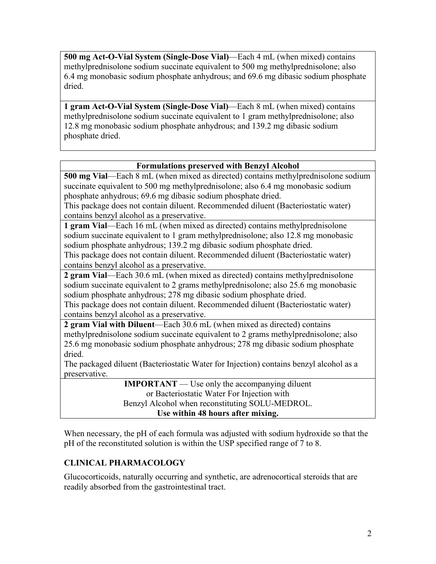**500 mg Act-O-Vial System (Single-Dose Vial)**—Each 4 mL (when mixed) contains methylprednisolone sodium succinate equivalent to 500 mg methylprednisolone; also 6.4 mg monobasic sodium phosphate anhydrous; and 69.6 mg dibasic sodium phosphate dried.

**1 gram Act-O-Vial System (Single-Dose Vial)**—Each 8 mL (when mixed) contains methylprednisolone sodium succinate equivalent to 1 gram methylprednisolone; also 12.8 mg monobasic sodium phosphate anhydrous; and 139.2 mg dibasic sodium phosphate dried.

## **Formulations preserved with Benzyl Alcohol**

**500 mg Vial**—Each 8 mL (when mixed as directed) contains methylprednisolone sodium succinate equivalent to 500 mg methylprednisolone; also 6.4 mg monobasic sodium phosphate anhydrous; 69.6 mg dibasic sodium phosphate dried.

This package does not contain diluent. Recommended diluent (Bacteriostatic water) contains benzyl alcohol as a preservative.

**1 gram Vial**—Each 16 mL (when mixed as directed) contains methylprednisolone sodium succinate equivalent to 1 gram methylprednisolone; also 12.8 mg monobasic sodium phosphate anhydrous; 139.2 mg dibasic sodium phosphate dried.

This package does not contain diluent. Recommended diluent (Bacteriostatic water) contains benzyl alcohol as a preservative.

**2 gram Vial**—Each 30.6 mL (when mixed as directed) contains methylprednisolone sodium succinate equivalent to 2 grams methylprednisolone; also 25.6 mg monobasic sodium phosphate anhydrous; 278 mg dibasic sodium phosphate dried.

This package does not contain diluent. Recommended diluent (Bacteriostatic water) contains benzyl alcohol as a preservative.

**2 gram Vial with Diluent**—Each 30.6 mL (when mixed as directed) contains methylprednisolone sodium succinate equivalent to 2 grams methylprednisolone; also 25.6 mg monobasic sodium phosphate anhydrous; 278 mg dibasic sodium phosphate dried.

The packaged diluent (Bacteriostatic Water for Injection) contains benzyl alcohol as a preservative.

**IMPORTANT** — Use only the accompanying diluent or Bacteriostatic Water For Injection with Benzyl Alcohol when reconstituting SOLU-MEDROL. **Use within 48 hours after mixing.**

When necessary, the pH of each formula was adjusted with sodium hydroxide so that the pH of the reconstituted solution is within the USP specified range of 7 to 8.

# **CLINICAL PHARMACOLOGY**

Glucocorticoids, naturally occurring and synthetic, are adrenocortical steroids that are readily absorbed from the gastrointestinal tract.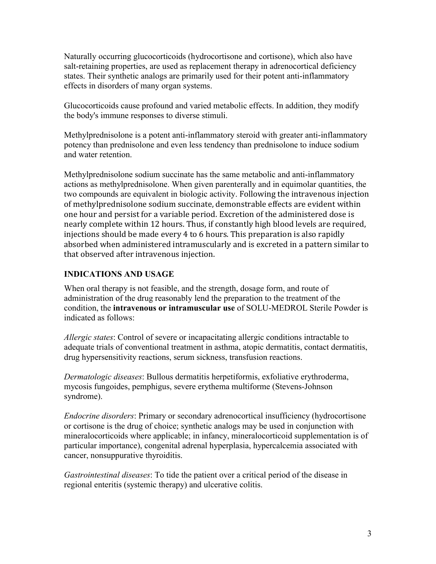Naturally occurring glucocorticoids (hydrocortisone and cortisone), which also have salt-retaining properties, are used as replacement therapy in adrenocortical deficiency states. Their synthetic analogs are primarily used for their potent anti-inflammatory effects in disorders of many organ systems.

Glucocorticoids cause profound and varied metabolic effects. In addition, they modify the body's immune responses to diverse stimuli.

Methylprednisolone is a potent anti-inflammatory steroid with greater anti-inflammatory potency than prednisolone and even less tendency than prednisolone to induce sodium and water retention.

Methylprednisolone sodium succinate has the same metabolic and anti-inflammatory actions as methylprednisolone. When given parenterally and in equimolar quantities, the two compounds are equivalent in biologic activity. Following the intravenous injection of methylprednisolone sodium succinate, demonstrable effects are evident within one hour and persist for a variable period. Excretion of the administered dose is nearly complete within 12 hours. Thus, if constantly high blood levels are required, injections should be made every 4 to 6 hours. This preparation is also rapidly absorbed when administered intramuscularly and is excreted in a pattern similar to that observed after intravenous injection.

# **INDICATIONS AND USAGE**

When oral therapy is not feasible, and the strength, dosage form, and route of administration of the drug reasonably lend the preparation to the treatment of the condition, the **intravenous or intramuscular use** of SOLU-MEDROL Sterile Powder is indicated as follows:

*Allergic states*: Control of severe or incapacitating allergic conditions intractable to adequate trials of conventional treatment in asthma, atopic dermatitis, contact dermatitis, drug hypersensitivity reactions, serum sickness, transfusion reactions.

*Dermatologic diseases*: Bullous dermatitis herpetiformis, exfoliative erythroderma, mycosis fungoides, pemphigus, severe erythema multiforme (Stevens-Johnson syndrome).

*Endocrine disorders*: Primary or secondary adrenocortical insufficiency (hydrocortisone or cortisone is the drug of choice; synthetic analogs may be used in conjunction with mineralocorticoids where applicable; in infancy, mineralocorticoid supplementation is of particular importance), congenital adrenal hyperplasia, hypercalcemia associated with cancer, nonsuppurative thyroiditis.

*Gastrointestinal diseases*: To tide the patient over a critical period of the disease in regional enteritis (systemic therapy) and ulcerative colitis.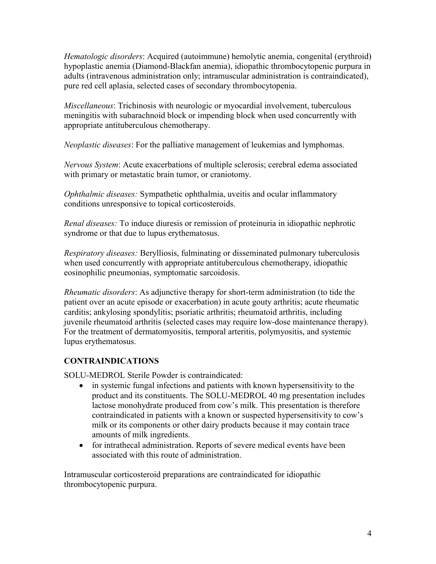*Hematologic disorders*: Acquired (autoimmune) hemolytic anemia, congenital (erythroid) hypoplastic anemia (Diamond-Blackfan anemia), idiopathic thrombocytopenic purpura in adults (intravenous administration only; intramuscular administration is contraindicated), pure red cell aplasia, selected cases of secondary thrombocytopenia.

*Miscellaneous*: Trichinosis with neurologic or myocardial involvement, tuberculous meningitis with subarachnoid block or impending block when used concurrently with appropriate antituberculous chemotherapy.

*Neoplastic diseases*: For the palliative management of leukemias and lymphomas.

*Nervous System*: Acute exacerbations of multiple sclerosis; cerebral edema associated with primary or metastatic brain tumor, or craniotomy.

*Ophthalmic diseases:* Sympathetic ophthalmia, uveitis and ocular inflammatory conditions unresponsive to topical corticosteroids.

*Renal diseases:* To induce diuresis or remission of proteinuria in idiopathic nephrotic syndrome or that due to lupus erythematosus.

*Respiratory diseases:* Berylliosis, fulminating or disseminated pulmonary tuberculosis when used concurrently with appropriate antituberculous chemotherapy, idiopathic eosinophilic pneumonias, symptomatic sarcoidosis.

*Rheumatic disorders*: As adjunctive therapy for short-term administration (to tide the patient over an acute episode or exacerbation) in acute gouty arthritis; acute rheumatic carditis; ankylosing spondylitis; psoriatic arthritis; rheumatoid arthritis, including juvenile rheumatoid arthritis (selected cases may require low-dose maintenance therapy). For the treatment of dermatomyositis, temporal arteritis, polymyositis, and systemic lupus erythematosus.

# **CONTRAINDICATIONS**

SOLU-MEDROL Sterile Powder is contraindicated:

- in systemic fungal infections and patients with known hypersensitivity to the product and its constituents. The SOLU-MEDROL 40 mg presentation includes lactose monohydrate produced from cow's milk. This presentation is therefore contraindicated in patients with a known or suspected hypersensitivity to cow's milk or its components or other dairy products because it may contain trace amounts of milk ingredients.
- for intrathecal administration. Reports of severe medical events have been associated with this route of administration.

Intramuscular corticosteroid preparations are contraindicated for idiopathic thrombocytopenic purpura.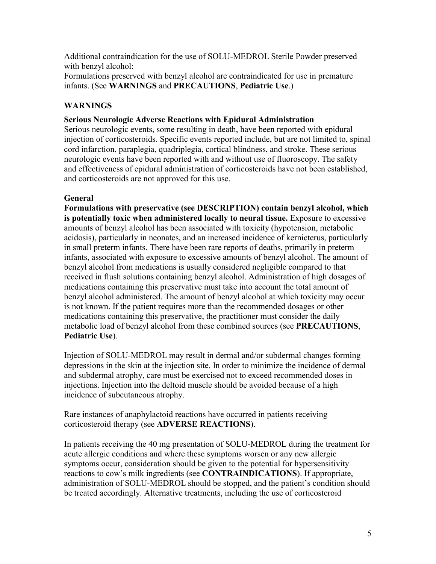Additional contraindication for the use of SOLU-MEDROL Sterile Powder preserved with benzyl alcohol: Formulations preserved with benzyl alcohol are contraindicated for use in premature

infants. (See **WARNINGS** and **PRECAUTIONS**, **Pediatric Use**.)

# **WARNINGS**

#### **Serious Neurologic Adverse Reactions with Epidural Administration**

Serious neurologic events, some resulting in death, have been reported with epidural injection of corticosteroids. Specific events reported include, but are not limited to, spinal cord infarction, paraplegia, quadriplegia, cortical blindness, and stroke. These serious neurologic events have been reported with and without use of fluoroscopy. The safety and effectiveness of epidural administration of corticosteroids have not been established, and corticosteroids are not approved for this use.

#### **General**

**Formulations with preservative (see DESCRIPTION) contain benzyl alcohol, which is potentially toxic when administered locally to neural tissue.** Exposure to excessive amounts of benzyl alcohol has been associated with toxicity (hypotension, metabolic acidosis), particularly in neonates, and an increased incidence of kernicterus, particularly in small preterm infants. There have been rare reports of deaths, primarily in preterm infants, associated with exposure to excessive amounts of benzyl alcohol. The amount of benzyl alcohol from medications is usually considered negligible compared to that received in flush solutions containing benzyl alcohol. Administration of high dosages of medications containing this preservative must take into account the total amount of benzyl alcohol administered. The amount of benzyl alcohol at which toxicity may occur is not known. If the patient requires more than the recommended dosages or other medications containing this preservative, the practitioner must consider the daily metabolic load of benzyl alcohol from these combined sources (see **PRECAUTIONS**, **Pediatric Use**).

Injection of SOLU-MEDROL may result in dermal and/or subdermal changes forming depressions in the skin at the injection site. In order to minimize the incidence of dermal and subdermal atrophy, care must be exercised not to exceed recommended doses in injections. Injection into the deltoid muscle should be avoided because of a high incidence of subcutaneous atrophy.

Rare instances of anaphylactoid reactions have occurred in patients receiving corticosteroid therapy (see **ADVERSE REACTIONS**).

In patients receiving the 40 mg presentation of SOLU-MEDROL during the treatment for acute allergic conditions and where these symptoms worsen or any new allergic symptoms occur, consideration should be given to the potential for hypersensitivity reactions to cow's milk ingredients (see **CONTRAINDICATIONS**). If appropriate, administration of SOLU-MEDROL should be stopped, and the patient's condition should be treated accordingly. Alternative treatments, including the use of corticosteroid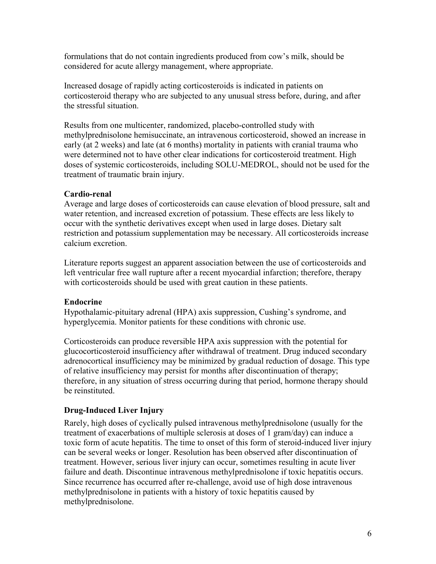formulations that do not contain ingredients produced from cow's milk, should be considered for acute allergy management, where appropriate.

Increased dosage of rapidly acting corticosteroids is indicated in patients on corticosteroid therapy who are subjected to any unusual stress before, during, and after the stressful situation.

Results from one multicenter, randomized, placebo-controlled study with methylprednisolone hemisuccinate, an intravenous corticosteroid, showed an increase in early (at 2 weeks) and late (at 6 months) mortality in patients with cranial trauma who were determined not to have other clear indications for corticosteroid treatment. High doses of systemic corticosteroids, including SOLU-MEDROL, should not be used for the treatment of traumatic brain injury.

#### **Cardio-renal**

Average and large doses of corticosteroids can cause elevation of blood pressure, salt and water retention, and increased excretion of potassium. These effects are less likely to occur with the synthetic derivatives except when used in large doses. Dietary salt restriction and potassium supplementation may be necessary. All corticosteroids increase calcium excretion.

Literature reports suggest an apparent association between the use of corticosteroids and left ventricular free wall rupture after a recent myocardial infarction; therefore, therapy with corticosteroids should be used with great caution in these patients.

#### **Endocrine**

Hypothalamic-pituitary adrenal (HPA) axis suppression, Cushing's syndrome, and hyperglycemia. Monitor patients for these conditions with chronic use.

Corticosteroids can produce reversible HPA axis suppression with the potential for glucocorticosteroid insufficiency after withdrawal of treatment. Drug induced secondary adrenocortical insufficiency may be minimized by gradual reduction of dosage. This type of relative insufficiency may persist for months after discontinuation of therapy; therefore, in any situation of stress occurring during that period, hormone therapy should be reinstituted.

# **Drug-Induced Liver Injury**

Rarely, high doses of cyclically pulsed intravenous methylprednisolone (usually for the treatment of exacerbations of multiple sclerosis at doses of 1 gram/day) can induce a toxic form of acute hepatitis. The time to onset of this form of steroid-induced liver injury can be several weeks or longer. Resolution has been observed after discontinuation of treatment. However, serious liver injury can occur, sometimes resulting in acute liver failure and death. Discontinue intravenous methylprednisolone if toxic hepatitis occurs. Since recurrence has occurred after re-challenge, avoid use of high dose intravenous methylprednisolone in patients with a history of toxic hepatitis caused by methylprednisolone.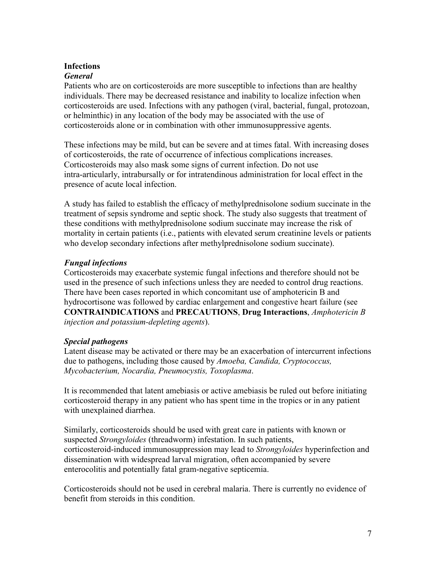#### **Infections**

#### *General*

Patients who are on corticosteroids are more susceptible to infections than are healthy individuals. There may be decreased resistance and inability to localize infection when corticosteroids are used. Infections with any pathogen (viral, bacterial, fungal, protozoan, or helminthic) in any location of the body may be associated with the use of corticosteroids alone or in combination with other immunosuppressive agents.

These infections may be mild, but can be severe and at times fatal. With increasing doses of corticosteroids, the rate of occurrence of infectious complications increases. Corticosteroids may also mask some signs of current infection. Do not use intra-articularly, intrabursally or for intratendinous administration for local effect in the presence of acute local infection.

A study has failed to establish the efficacy of methylprednisolone sodium succinate in the treatment of sepsis syndrome and septic shock. The study also suggests that treatment of these conditions with methylprednisolone sodium succinate may increase the risk of mortality in certain patients (i.e., patients with elevated serum creatinine levels or patients who develop secondary infections after methylprednisolone sodium succinate).

#### *Fungal infections*

Corticosteroids may exacerbate systemic fungal infections and therefore should not be used in the presence of such infections unless they are needed to control drug reactions. There have been cases reported in which concomitant use of amphotericin B and hydrocortisone was followed by cardiac enlargement and congestive heart failure (see **CONTRAINDICATIONS** and **PRECAUTIONS**, **Drug Interactions**, *Amphotericin B injection and potassium-depleting agents*).

#### *Special pathogens*

Latent disease may be activated or there may be an exacerbation of intercurrent infections due to pathogens, including those caused by *Amoeba, Candida, Cryptococcus, Mycobacterium, Nocardia, Pneumocystis, Toxoplasma*.

It is recommended that latent amebiasis or active amebiasis be ruled out before initiating corticosteroid therapy in any patient who has spent time in the tropics or in any patient with unexplained diarrhea.

Similarly, corticosteroids should be used with great care in patients with known or suspected *Strongyloides* (threadworm) infestation. In such patients, corticosteroid-induced immunosuppression may lead to *Strongyloides* hyperinfection and dissemination with widespread larval migration, often accompanied by severe enterocolitis and potentially fatal gram-negative septicemia.

Corticosteroids should not be used in cerebral malaria. There is currently no evidence of benefit from steroids in this condition.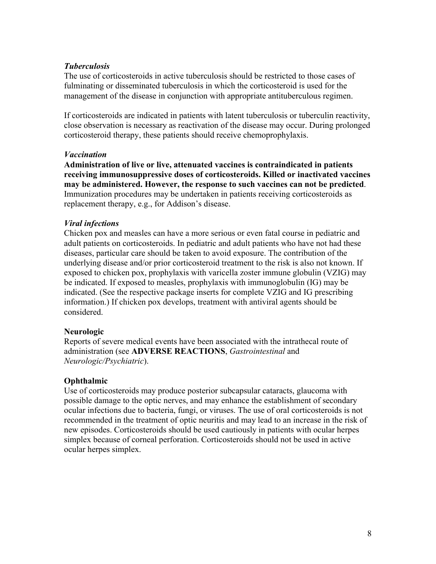#### *Tuberculosis*

The use of corticosteroids in active tuberculosis should be restricted to those cases of fulminating or disseminated tuberculosis in which the corticosteroid is used for the management of the disease in conjunction with appropriate antituberculous regimen.

If corticosteroids are indicated in patients with latent tuberculosis or tuberculin reactivity, close observation is necessary as reactivation of the disease may occur. During prolonged corticosteroid therapy, these patients should receive chemoprophylaxis.

#### *Vaccination*

**Administration of live or live, attenuated vaccines is contraindicated in patients receiving immunosuppressive doses of corticosteroids. Killed or inactivated vaccines may be administered. However, the response to such vaccines can not be predicted**. Immunization procedures may be undertaken in patients receiving corticosteroids as replacement therapy, e.g., for Addison's disease.

#### *Viral infections*

Chicken pox and measles can have a more serious or even fatal course in pediatric and adult patients on corticosteroids. In pediatric and adult patients who have not had these diseases, particular care should be taken to avoid exposure. The contribution of the underlying disease and/or prior corticosteroid treatment to the risk is also not known. If exposed to chicken pox, prophylaxis with varicella zoster immune globulin (VZIG) may be indicated. If exposed to measles, prophylaxis with immunoglobulin (IG) may be indicated. (See the respective package inserts for complete VZIG and IG prescribing information.) If chicken pox develops, treatment with antiviral agents should be considered.

#### **Neurologic**

Reports of severe medical events have been associated with the intrathecal route of administration (see **ADVERSE REACTIONS**, *Gastrointestinal* and *Neurologic/Psychiatric*).

#### **Ophthalmic**

Use of corticosteroids may produce posterior subcapsular cataracts, glaucoma with possible damage to the optic nerves, and may enhance the establishment of secondary ocular infections due to bacteria, fungi, or viruses. The use of oral corticosteroids is not recommended in the treatment of optic neuritis and may lead to an increase in the risk of new episodes. Corticosteroids should be used cautiously in patients with ocular herpes simplex because of corneal perforation. Corticosteroids should not be used in active ocular herpes simplex.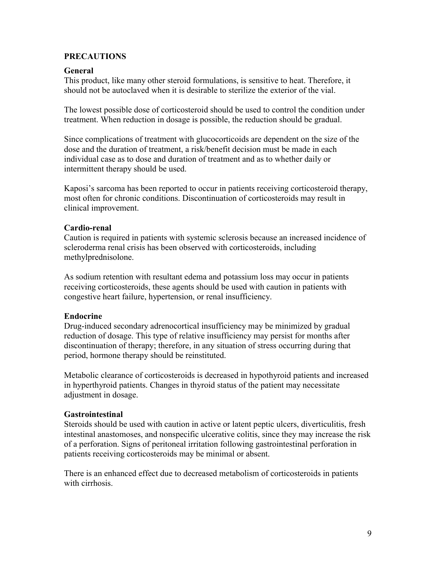#### **PRECAUTIONS**

#### **General**

This product, like many other steroid formulations, is sensitive to heat. Therefore, it should not be autoclaved when it is desirable to sterilize the exterior of the vial.

The lowest possible dose of corticosteroid should be used to control the condition under treatment. When reduction in dosage is possible, the reduction should be gradual.

Since complications of treatment with glucocorticoids are dependent on the size of the dose and the duration of treatment, a risk/benefit decision must be made in each individual case as to dose and duration of treatment and as to whether daily or intermittent therapy should be used.

Kaposi's sarcoma has been reported to occur in patients receiving corticosteroid therapy, most often for chronic conditions. Discontinuation of corticosteroids may result in clinical improvement.

#### **Cardio-renal**

Caution is required in patients with systemic sclerosis because an increased incidence of scleroderma renal crisis has been observed with corticosteroids, including methylprednisolone.

As sodium retention with resultant edema and potassium loss may occur in patients receiving corticosteroids, these agents should be used with caution in patients with congestive heart failure, hypertension, or renal insufficiency.

#### **Endocrine**

Drug-induced secondary adrenocortical insufficiency may be minimized by gradual reduction of dosage. This type of relative insufficiency may persist for months after discontinuation of therapy; therefore, in any situation of stress occurring during that period, hormone therapy should be reinstituted.

Metabolic clearance of corticosteroids is decreased in hypothyroid patients and increased in hyperthyroid patients. Changes in thyroid status of the patient may necessitate adjustment in dosage.

#### **Gastrointestinal**

Steroids should be used with caution in active or latent peptic ulcers, diverticulitis, fresh intestinal anastomoses, and nonspecific ulcerative colitis, since they may increase the risk of a perforation. Signs of peritoneal irritation following gastrointestinal perforation in patients receiving corticosteroids may be minimal or absent.

There is an enhanced effect due to decreased metabolism of corticosteroids in patients with cirrhosis.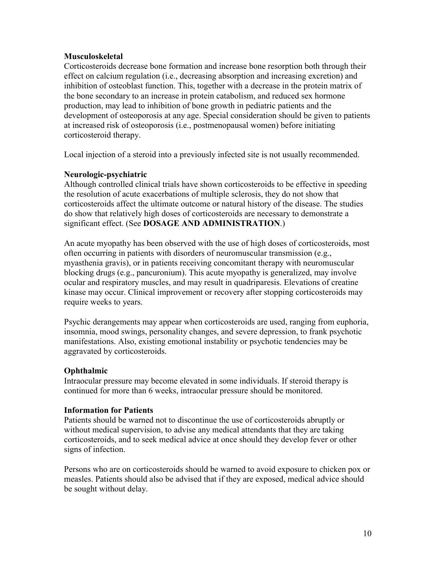#### **Musculoskeletal**

Corticosteroids decrease bone formation and increase bone resorption both through their effect on calcium regulation (i.e., decreasing absorption and increasing excretion) and inhibition of osteoblast function. This, together with a decrease in the protein matrix of the bone secondary to an increase in protein catabolism, and reduced sex hormone production, may lead to inhibition of bone growth in pediatric patients and the development of osteoporosis at any age. Special consideration should be given to patients at increased risk of osteoporosis (i.e., postmenopausal women) before initiating corticosteroid therapy.

Local injection of a steroid into a previously infected site is not usually recommended.

#### **Neurologic-psychiatric**

Although controlled clinical trials have shown corticosteroids to be effective in speeding the resolution of acute exacerbations of multiple sclerosis, they do not show that corticosteroids affect the ultimate outcome or natural history of the disease. The studies do show that relatively high doses of corticosteroids are necessary to demonstrate a significant effect. (See **DOSAGE AND ADMINISTRATION**.)

An acute myopathy has been observed with the use of high doses of corticosteroids, most often occurring in patients with disorders of neuromuscular transmission (e.g., myasthenia gravis), or in patients receiving concomitant therapy with neuromuscular blocking drugs (e.g., pancuronium). This acute myopathy is generalized, may involve ocular and respiratory muscles, and may result in quadriparesis. Elevations of creatine kinase may occur. Clinical improvement or recovery after stopping corticosteroids may require weeks to years.

Psychic derangements may appear when corticosteroids are used, ranging from euphoria, insomnia, mood swings, personality changes, and severe depression, to frank psychotic manifestations. Also, existing emotional instability or psychotic tendencies may be aggravated by corticosteroids.

#### **Ophthalmic**

Intraocular pressure may become elevated in some individuals. If steroid therapy is continued for more than 6 weeks, intraocular pressure should be monitored.

#### **Information for Patients**

Patients should be warned not to discontinue the use of corticosteroids abruptly or without medical supervision, to advise any medical attendants that they are taking corticosteroids, and to seek medical advice at once should they develop fever or other signs of infection.

Persons who are on corticosteroids should be warned to avoid exposure to chicken pox or measles. Patients should also be advised that if they are exposed, medical advice should be sought without delay.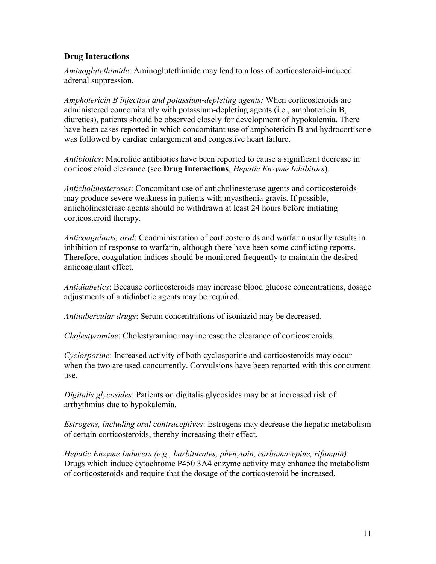#### **Drug Interactions**

*Aminoglutethimide*: Aminoglutethimide may lead to a loss of corticosteroid-induced adrenal suppression.

*Amphotericin B injection and potassium-depleting agents:* When corticosteroids are administered concomitantly with potassium-depleting agents (i.e., amphotericin B, diuretics), patients should be observed closely for development of hypokalemia. There have been cases reported in which concomitant use of amphotericin B and hydrocortisone was followed by cardiac enlargement and congestive heart failure.

*Antibiotics*: Macrolide antibiotics have been reported to cause a significant decrease in corticosteroid clearance (see **Drug Interactions**, *Hepatic Enzyme Inhibitors*).

*Anticholinesterases*: Concomitant use of anticholinesterase agents and corticosteroids may produce severe weakness in patients with myasthenia gravis. If possible, anticholinesterase agents should be withdrawn at least 24 hours before initiating corticosteroid therapy.

*Anticoagulants, oral*: Coadministration of corticosteroids and warfarin usually results in inhibition of response to warfarin, although there have been some conflicting reports. Therefore, coagulation indices should be monitored frequently to maintain the desired anticoagulant effect.

*Antidiabetics*: Because corticosteroids may increase blood glucose concentrations, dosage adjustments of antidiabetic agents may be required.

*Antitubercular drugs*: Serum concentrations of isoniazid may be decreased.

*Cholestyramine*: Cholestyramine may increase the clearance of corticosteroids.

*Cyclosporine*: Increased activity of both cyclosporine and corticosteroids may occur when the two are used concurrently. Convulsions have been reported with this concurrent use.

*Digitalis glycosides*: Patients on digitalis glycosides may be at increased risk of arrhythmias due to hypokalemia.

*Estrogens, including oral contraceptives*: Estrogens may decrease the hepatic metabolism of certain corticosteroids, thereby increasing their effect.

*Hepatic Enzyme Inducers (e.g., barbiturates, phenytoin, carbamazepine, rifampin)*: Drugs which induce cytochrome P450 3A4 enzyme activity may enhance the metabolism of corticosteroids and require that the dosage of the corticosteroid be increased.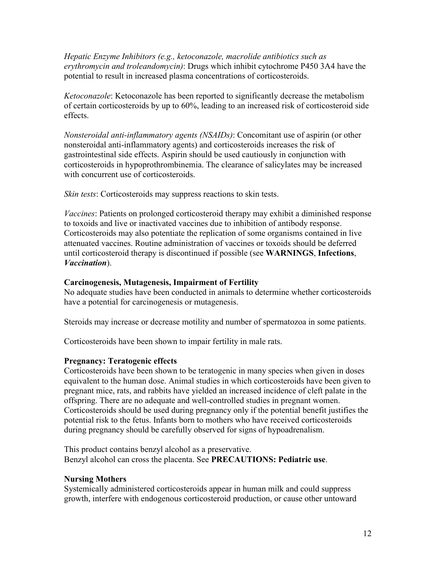*Hepatic Enzyme Inhibitors (e.g., ketoconazole, macrolide antibiotics such as erythromycin and troleandomycin)*: Drugs which inhibit cytochrome P450 3A4 have the potential to result in increased plasma concentrations of corticosteroids.

*Ketoconazole*: Ketoconazole has been reported to significantly decrease the metabolism of certain corticosteroids by up to 60%, leading to an increased risk of corticosteroid side effects.

*Nonsteroidal anti-inflammatory agents (NSAIDs)*: Concomitant use of aspirin (or other nonsteroidal anti-inflammatory agents) and corticosteroids increases the risk of gastrointestinal side effects. Aspirin should be used cautiously in conjunction with corticosteroids in hypoprothrombinemia. The clearance of salicylates may be increased with concurrent use of corticosteroids.

*Skin tests*: Corticosteroids may suppress reactions to skin tests.

*Vaccines*: Patients on prolonged corticosteroid therapy may exhibit a diminished response to toxoids and live or inactivated vaccines due to inhibition of antibody response. Corticosteroids may also potentiate the replication of some organisms contained in live attenuated vaccines. Routine administration of vaccines or toxoids should be deferred until corticosteroid therapy is discontinued if possible (see **WARNINGS**, **Infections**, *Vaccination*).

#### **Carcinogenesis, Mutagenesis, Impairment of Fertility**

No adequate studies have been conducted in animals to determine whether corticosteroids have a potential for carcinogenesis or mutagenesis.

Steroids may increase or decrease motility and number of spermatozoa in some patients.

Corticosteroids have been shown to impair fertility in male rats.

#### **Pregnancy: Teratogenic effects**

Corticosteroids have been shown to be teratogenic in many species when given in doses equivalent to the human dose. Animal studies in which corticosteroids have been given to pregnant mice, rats, and rabbits have yielded an increased incidence of cleft palate in the offspring. There are no adequate and well-controlled studies in pregnant women. Corticosteroids should be used during pregnancy only if the potential benefit justifies the potential risk to the fetus. Infants born to mothers who have received corticosteroids during pregnancy should be carefully observed for signs of hypoadrenalism.

This product contains benzyl alcohol as a preservative. Benzyl alcohol can cross the placenta. See **PRECAUTIONS: Pediatric use**.

#### **Nursing Mothers**

Systemically administered corticosteroids appear in human milk and could suppress growth, interfere with endogenous corticosteroid production, or cause other untoward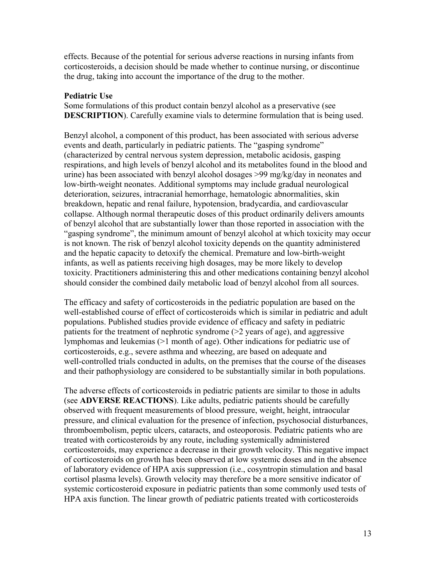effects. Because of the potential for serious adverse reactions in nursing infants from corticosteroids, a decision should be made whether to continue nursing, or discontinue the drug, taking into account the importance of the drug to the mother.

#### **Pediatric Use**

Some formulations of this product contain benzyl alcohol as a preservative (see **DESCRIPTION**). Carefully examine vials to determine formulation that is being used.

Benzyl alcohol, a component of this product, has been associated with serious adverse events and death, particularly in pediatric patients. The "gasping syndrome" (characterized by central nervous system depression, metabolic acidosis, gasping respirations, and high levels of benzyl alcohol and its metabolites found in the blood and urine) has been associated with benzyl alcohol dosages >99 mg/kg/day in neonates and low-birth-weight neonates. Additional symptoms may include gradual neurological deterioration, seizures, intracranial hemorrhage, hematologic abnormalities, skin breakdown, hepatic and renal failure, hypotension, bradycardia, and cardiovascular collapse. Although normal therapeutic doses of this product ordinarily delivers amounts of benzyl alcohol that are substantially lower than those reported in association with the "gasping syndrome", the minimum amount of benzyl alcohol at which toxicity may occur is not known. The risk of benzyl alcohol toxicity depends on the quantity administered and the hepatic capacity to detoxify the chemical. Premature and low-birth-weight infants, as well as patients receiving high dosages, may be more likely to develop toxicity. Practitioners administering this and other medications containing benzyl alcohol should consider the combined daily metabolic load of benzyl alcohol from all sources.

The efficacy and safety of corticosteroids in the pediatric population are based on the well-established course of effect of corticosteroids which is similar in pediatric and adult populations. Published studies provide evidence of efficacy and safety in pediatric patients for the treatment of nephrotic syndrome  $(>= 2$  years of age), and aggressive lymphomas and leukemias (>1 month of age). Other indications for pediatric use of corticosteroids, e.g., severe asthma and wheezing, are based on adequate and well-controlled trials conducted in adults, on the premises that the course of the diseases and their pathophysiology are considered to be substantially similar in both populations.

The adverse effects of corticosteroids in pediatric patients are similar to those in adults (see **ADVERSE REACTIONS**). Like adults, pediatric patients should be carefully observed with frequent measurements of blood pressure, weight, height, intraocular pressure, and clinical evaluation for the presence of infection, psychosocial disturbances, thromboembolism, peptic ulcers, cataracts, and osteoporosis. Pediatric patients who are treated with corticosteroids by any route, including systemically administered corticosteroids, may experience a decrease in their growth velocity. This negative impact of corticosteroids on growth has been observed at low systemic doses and in the absence of laboratory evidence of HPA axis suppression (i.e., cosyntropin stimulation and basal cortisol plasma levels). Growth velocity may therefore be a more sensitive indicator of systemic corticosteroid exposure in pediatric patients than some commonly used tests of HPA axis function. The linear growth of pediatric patients treated with corticosteroids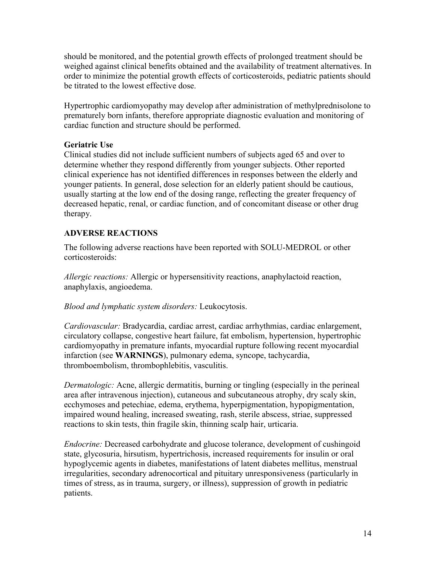should be monitored, and the potential growth effects of prolonged treatment should be weighed against clinical benefits obtained and the availability of treatment alternatives. In order to minimize the potential growth effects of corticosteroids, pediatric patients should be titrated to the lowest effective dose.

Hypertrophic cardiomyopathy may develop after administration of methylprednisolone to prematurely born infants, therefore appropriate diagnostic evaluation and monitoring of cardiac function and structure should be performed.

#### **Geriatric Use**

Clinical studies did not include sufficient numbers of subjects aged 65 and over to determine whether they respond differently from younger subjects. Other reported clinical experience has not identified differences in responses between the elderly and younger patients. In general, dose selection for an elderly patient should be cautious, usually starting at the low end of the dosing range, reflecting the greater frequency of decreased hepatic, renal, or cardiac function, and of concomitant disease or other drug therapy.

# **ADVERSE REACTIONS**

The following adverse reactions have been reported with SOLU-MEDROL or other corticosteroids:

*Allergic reactions:* Allergic or hypersensitivity reactions, anaphylactoid reaction, anaphylaxis, angioedema.

#### *Blood and lymphatic system disorders:* Leukocytosis.

*Cardiovascular:* Bradycardia, cardiac arrest, cardiac arrhythmias, cardiac enlargement, circulatory collapse, congestive heart failure, fat embolism, hypertension, hypertrophic cardiomyopathy in premature infants, myocardial rupture following recent myocardial infarction (see **WARNINGS**), pulmonary edema, syncope, tachycardia, thromboembolism, thrombophlebitis, vasculitis.

*Dermatologic:* Acne, allergic dermatitis, burning or tingling (especially in the perineal area after intravenous injection), cutaneous and subcutaneous atrophy, dry scaly skin, ecchymoses and petechiae, edema, erythema, hyperpigmentation, hypopigmentation, impaired wound healing, increased sweating, rash, sterile abscess, striae, suppressed reactions to skin tests, thin fragile skin, thinning scalp hair, urticaria.

*Endocrine:* Decreased carbohydrate and glucose tolerance, development of cushingoid state, glycosuria, hirsutism, hypertrichosis, increased requirements for insulin or oral hypoglycemic agents in diabetes, manifestations of latent diabetes mellitus, menstrual irregularities, secondary adrenocortical and pituitary unresponsiveness (particularly in times of stress, as in trauma, surgery, or illness), suppression of growth in pediatric patients.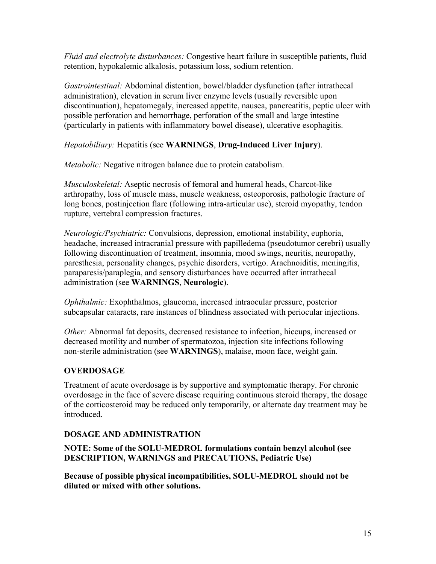*Fluid and electrolyte disturbances:* Congestive heart failure in susceptible patients, fluid retention, hypokalemic alkalosis, potassium loss, sodium retention.

*Gastrointestinal:* Abdominal distention, bowel/bladder dysfunction (after intrathecal administration), elevation in serum liver enzyme levels (usually reversible upon discontinuation), hepatomegaly, increased appetite, nausea, pancreatitis, peptic ulcer with possible perforation and hemorrhage, perforation of the small and large intestine (particularly in patients with inflammatory bowel disease), ulcerative esophagitis.

#### *Hepatobiliary:* Hepatitis (see **WARNINGS**, **Drug-Induced Liver Injury**).

*Metabolic:* Negative nitrogen balance due to protein catabolism.

*Musculoskeletal:* Aseptic necrosis of femoral and humeral heads, Charcot-like arthropathy, loss of muscle mass, muscle weakness, osteoporosis, pathologic fracture of long bones, postinjection flare (following intra-articular use), steroid myopathy, tendon rupture, vertebral compression fractures.

*Neurologic/Psychiatric:* Convulsions, depression, emotional instability, euphoria, headache, increased intracranial pressure with papilledema (pseudotumor cerebri) usually following discontinuation of treatment, insomnia, mood swings, neuritis, neuropathy, paresthesia, personality changes, psychic disorders, vertigo. Arachnoiditis, meningitis, paraparesis/paraplegia, and sensory disturbances have occurred after intrathecal administration (see **WARNINGS**, **Neurologic**).

*Ophthalmic:* Exophthalmos, glaucoma, increased intraocular pressure, posterior subcapsular cataracts, rare instances of blindness associated with periocular injections.

*Other:* Abnormal fat deposits, decreased resistance to infection, hiccups, increased or decreased motility and number of spermatozoa, injection site infections following non-sterile administration (see **WARNINGS**), malaise, moon face, weight gain.

#### **OVERDOSAGE**

Treatment of acute overdosage is by supportive and symptomatic therapy. For chronic overdosage in the face of severe disease requiring continuous steroid therapy, the dosage of the corticosteroid may be reduced only temporarily, or alternate day treatment may be introduced.

#### **DOSAGE AND ADMINISTRATION**

## **NOTE: Some of the SOLU-MEDROL formulations contain benzyl alcohol (see DESCRIPTION, WARNINGS and PRECAUTIONS, Pediatric Use)**

**Because of possible physical incompatibilities, SOLU-MEDROL should not be diluted or mixed with other solutions.**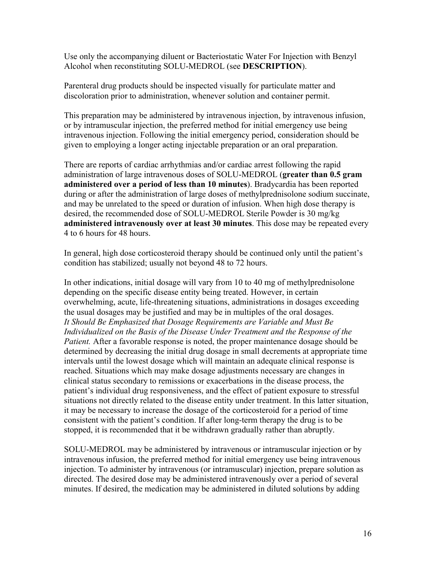Use only the accompanying diluent or Bacteriostatic Water For Injection with Benzyl Alcohol when reconstituting SOLU-MEDROL (see **DESCRIPTION**).

Parenteral drug products should be inspected visually for particulate matter and discoloration prior to administration, whenever solution and container permit.

This preparation may be administered by intravenous injection, by intravenous infusion, or by intramuscular injection, the preferred method for initial emergency use being intravenous injection. Following the initial emergency period, consideration should be given to employing a longer acting injectable preparation or an oral preparation.

There are reports of cardiac arrhythmias and/or cardiac arrest following the rapid administration of large intravenous doses of SOLU-MEDROL (**greater than 0.5 gram administered over a period of less than 10 minutes**). Bradycardia has been reported during or after the administration of large doses of methylprednisolone sodium succinate, and may be unrelated to the speed or duration of infusion. When high dose therapy is desired, the recommended dose of SOLU-MEDROL Sterile Powder is 30 mg/kg **administered intravenously over at least 30 minutes**. This dose may be repeated every 4 to 6 hours for 48 hours.

In general, high dose corticosteroid therapy should be continued only until the patient's condition has stabilized; usually not beyond 48 to 72 hours.

In other indications, initial dosage will vary from 10 to 40 mg of methylprednisolone depending on the specific disease entity being treated. However, in certain overwhelming, acute, life-threatening situations, administrations in dosages exceeding the usual dosages may be justified and may be in multiples of the oral dosages. *It Should Be Emphasized that Dosage Requirements are Variable and Must Be Individualized on the Basis of the Disease Under Treatment and the Response of the Patient.* After a favorable response is noted, the proper maintenance dosage should be determined by decreasing the initial drug dosage in small decrements at appropriate time intervals until the lowest dosage which will maintain an adequate clinical response is reached. Situations which may make dosage adjustments necessary are changes in clinical status secondary to remissions or exacerbations in the disease process, the patient's individual drug responsiveness, and the effect of patient exposure to stressful situations not directly related to the disease entity under treatment. In this latter situation, it may be necessary to increase the dosage of the corticosteroid for a period of time consistent with the patient's condition. If after long-term therapy the drug is to be stopped, it is recommended that it be withdrawn gradually rather than abruptly.

SOLU-MEDROL may be administered by intravenous or intramuscular injection or by intravenous infusion, the preferred method for initial emergency use being intravenous injection. To administer by intravenous (or intramuscular) injection, prepare solution as directed. The desired dose may be administered intravenously over a period of several minutes. If desired, the medication may be administered in diluted solutions by adding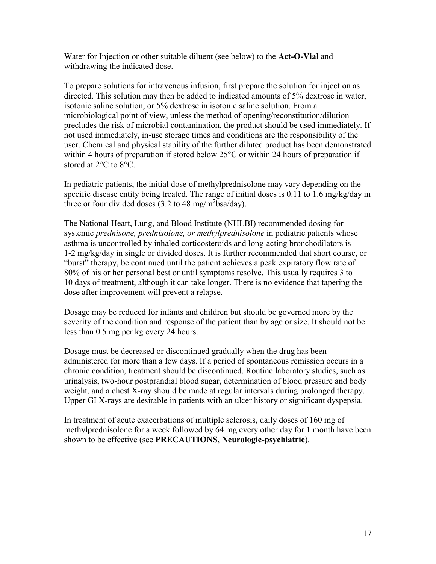Water for Injection or other suitable diluent (see below) to the **Act-O-Vial** and withdrawing the indicated dose.

To prepare solutions for intravenous infusion, first prepare the solution for injection as directed. This solution may then be added to indicated amounts of 5% dextrose in water, isotonic saline solution, or 5% dextrose in isotonic saline solution. From a microbiological point of view, unless the method of opening/reconstitution/dilution precludes the risk of microbial contamination, the product should be used immediately. If not used immediately, in-use storage times and conditions are the responsibility of the user. Chemical and physical stability of the further diluted product has been demonstrated within 4 hours of preparation if stored below 25<sup>o</sup>C or within 24 hours of preparation if stored at 2°C to 8°C.

In pediatric patients, the initial dose of methylprednisolone may vary depending on the specific disease entity being treated. The range of initial doses is 0.11 to 1.6 mg/kg/day in three or four divided doses  $(3.2 \text{ to } 48 \text{ mg/m}^2 \text{bsa/day})$ .

The National Heart, Lung, and Blood Institute (NHLBI) recommended dosing for systemic *prednisone, prednisolone, or methylprednisolone* in pediatric patients whose asthma is uncontrolled by inhaled corticosteroids and long-acting bronchodilators is 1-2 mg/kg/day in single or divided doses. It is further recommended that short course, or "burst" therapy, be continued until the patient achieves a peak expiratory flow rate of 80% of his or her personal best or until symptoms resolve. This usually requires 3 to 10 days of treatment, although it can take longer. There is no evidence that tapering the dose after improvement will prevent a relapse.

Dosage may be reduced for infants and children but should be governed more by the severity of the condition and response of the patient than by age or size. It should not be less than 0.5 mg per kg every 24 hours.

Dosage must be decreased or discontinued gradually when the drug has been administered for more than a few days. If a period of spontaneous remission occurs in a chronic condition, treatment should be discontinued. Routine laboratory studies, such as urinalysis, two-hour postprandial blood sugar, determination of blood pressure and body weight, and a chest X-ray should be made at regular intervals during prolonged therapy. Upper GI X-rays are desirable in patients with an ulcer history or significant dyspepsia.

In treatment of acute exacerbations of multiple sclerosis, daily doses of 160 mg of methylprednisolone for a week followed by 64 mg every other day for 1 month have been shown to be effective (see **PRECAUTIONS**, **Neurologic-psychiatric**).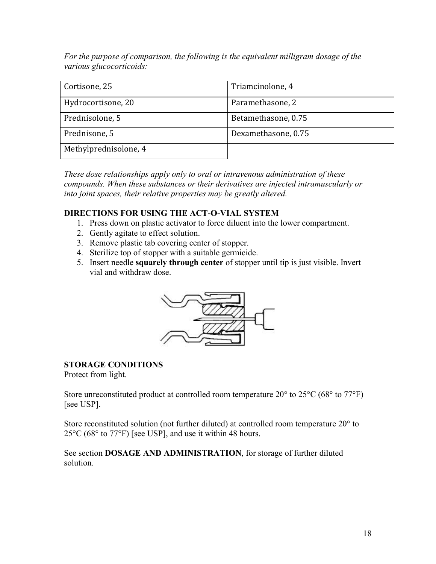*For the purpose of comparison, the following is the equivalent milligram dosage of the various glucocorticoids:*

| Cortisone, 25         | Triamcinolone, 4    |
|-----------------------|---------------------|
| Hydrocortisone, 20    | Paramethasone, 2    |
| Prednisolone, 5       | Betamethasone, 0.75 |
| Prednisone, 5         | Dexamethasone, 0.75 |
| Methylprednisolone, 4 |                     |

*These dose relationships apply only to oral or intravenous administration of these compounds. When these substances or their derivatives are injected intramuscularly or into joint spaces, their relative properties may be greatly altered.*

# **DIRECTIONS FOR USING THE ACT-O-VIAL SYSTEM**

- 1. Press down on plastic activator to force diluent into the lower compartment.
- 2. Gently agitate to effect solution.
- 3. Remove plastic tab covering center of stopper.
- 4. Sterilize top of stopper with a suitable germicide.
- 5. Insert needle **squarely through center** of stopper until tip is just visible. Invert vial and withdraw dose.



#### **STORAGE CONDITIONS**

Protect from light.

Store unreconstituted product at controlled room temperature  $20^{\circ}$  to  $25^{\circ}$ C (68 $^{\circ}$  to  $77^{\circ}$ F) [see USP].

Store reconstituted solution (not further diluted) at controlled room temperature 20° to  $25^{\circ}$ C (68° to 77°F) [see USP], and use it within 48 hours.

See section **DOSAGE AND ADMINISTRATION**, for storage of further diluted solution.